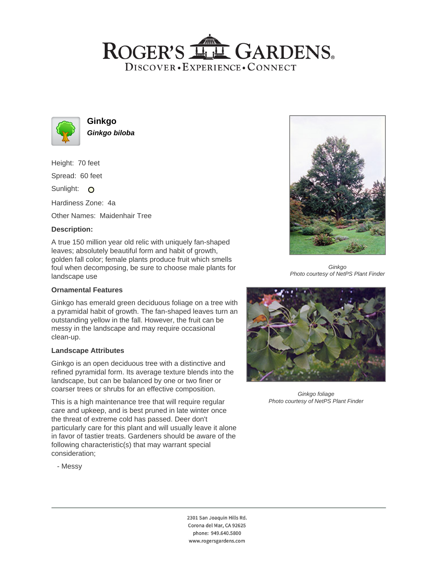## ROGER'S LL GARDENS. DISCOVER · EXPERIENCE · CONNECT



**Ginkgo Ginkgo biloba**

Height: 70 feet

Spread: 60 feet

Sunlight: O

Hardiness Zone: 4a

Other Names: Maidenhair Tree

#### **Description:**

A true 150 million year old relic with uniquely fan-shaped leaves; absolutely beautiful form and habit of growth, golden fall color; female plants produce fruit which smells foul when decomposing, be sure to choose male plants for landscape use

#### **Ornamental Features**

Ginkgo has emerald green deciduous foliage on a tree with a pyramidal habit of growth. The fan-shaped leaves turn an outstanding yellow in the fall. However, the fruit can be messy in the landscape and may require occasional clean-up.

#### **Landscape Attributes**

Ginkgo is an open deciduous tree with a distinctive and refined pyramidal form. Its average texture blends into the landscape, but can be balanced by one or two finer or coarser trees or shrubs for an effective composition.

This is a high maintenance tree that will require regular care and upkeep, and is best pruned in late winter once the threat of extreme cold has passed. Deer don't particularly care for this plant and will usually leave it alone in favor of tastier treats. Gardeners should be aware of the following characteristic(s) that may warrant special consideration;



Ginkgo Photo courtesy of NetPS Plant Finder



Ginkgo foliage Photo courtesy of NetPS Plant Finder

- Messy

2301 San Joaquin Hills Rd. Corona del Mar, CA 92625 phone: 949.640.5800 www.rogersgardens.com